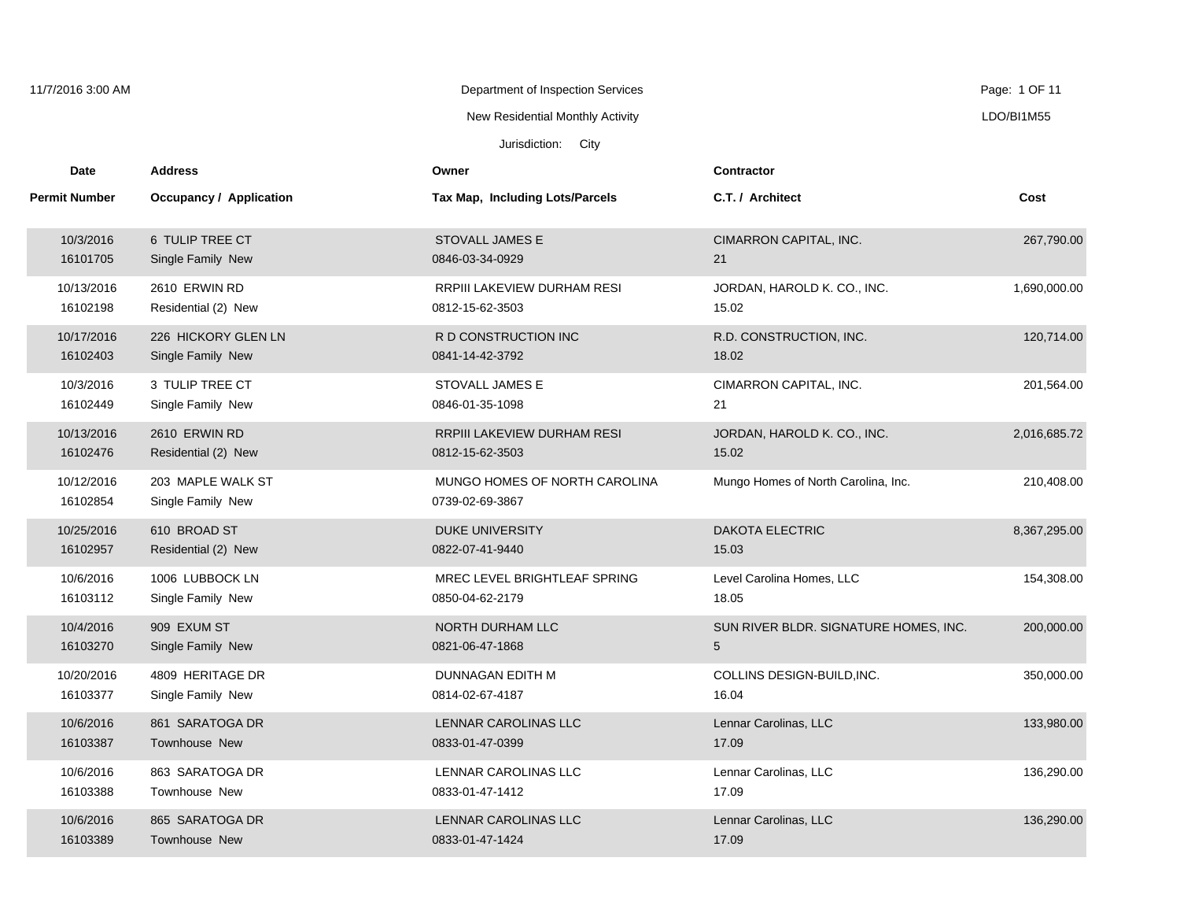| 11/7/2016 3:00 AM      |                                        | Department of Inspection Services                |                                       | Page: 1 OF 11 |
|------------------------|----------------------------------------|--------------------------------------------------|---------------------------------------|---------------|
|                        |                                        | New Residential Monthly Activity                 |                                       | LDO/BI1M55    |
|                        |                                        | Jurisdiction: City                               |                                       |               |
| Date                   | <b>Address</b>                         | Owner                                            | <b>Contractor</b>                     |               |
| <b>Permit Number</b>   | Occupancy / Application                | <b>Tax Map, Including Lots/Parcels</b>           | C.T. / Architect                      | Cost          |
| 10/3/2016              | 6 TULIP TREE CT                        | STOVALL JAMES E                                  | CIMARRON CAPITAL, INC.                | 267,790.00    |
| 16101705               | Single Family New                      | 0846-03-34-0929                                  | 21                                    |               |
| 10/13/2016             | 2610 ERWIN RD                          | RRPIII LAKEVIEW DURHAM RESI                      | JORDAN, HAROLD K. CO., INC.           | 1,690,000.00  |
| 16102198               | Residential (2) New                    | 0812-15-62-3503                                  | 15.02                                 |               |
| 10/17/2016             | 226 HICKORY GLEN LN                    | R D CONSTRUCTION INC                             | R.D. CONSTRUCTION, INC.               | 120,714.00    |
| 16102403               | Single Family New                      | 0841-14-42-3792                                  | 18.02                                 |               |
| 10/3/2016              | 3 TULIP TREE CT                        | STOVALL JAMES E                                  | CIMARRON CAPITAL, INC.                | 201,564.00    |
| 16102449               | Single Family New                      | 0846-01-35-1098                                  | 21                                    |               |
| 10/13/2016             | 2610 ERWIN RD                          | RRPIII LAKEVIEW DURHAM RESI                      | JORDAN, HAROLD K. CO., INC.           | 2,016,685.72  |
| 16102476               | Residential (2) New                    | 0812-15-62-3503                                  | 15.02                                 |               |
| 10/12/2016<br>16102854 | 203 MAPLE WALK ST<br>Single Family New | MUNGO HOMES OF NORTH CAROLINA<br>0739-02-69-3867 | Mungo Homes of North Carolina, Inc.   | 210,408.00    |
| 10/25/2016             | 610 BROAD ST                           | <b>DUKE UNIVERSITY</b>                           | <b>DAKOTA ELECTRIC</b>                | 8,367,295.00  |
| 16102957               | Residential (2) New                    | 0822-07-41-9440                                  | 15.03                                 |               |
| 10/6/2016              | 1006 LUBBOCK LN                        | MREC LEVEL BRIGHTLEAF SPRING                     | Level Carolina Homes, LLC             | 154,308.00    |
| 16103112               | Single Family New                      | 0850-04-62-2179                                  | 18.05                                 |               |
| 10/4/2016              | 909 EXUM ST                            | NORTH DURHAM LLC                                 | SUN RIVER BLDR. SIGNATURE HOMES, INC. | 200,000.00    |
| 16103270               | Single Family New                      | 0821-06-47-1868                                  | 5                                     |               |
| 10/20/2016             | 4809 HERITAGE DR                       | DUNNAGAN EDITH M                                 | COLLINS DESIGN-BUILD, INC.            | 350,000.00    |
| 16103377               | Single Family New                      | 0814-02-67-4187                                  | 16.04                                 |               |
| 10/6/2016              | 861 SARATOGA DR                        | LENNAR CAROLINAS LLC                             | Lennar Carolinas, LLC                 | 133,980.00    |
| 16103387               | Townhouse New                          | 0833-01-47-0399                                  | 17.09                                 |               |
| 10/6/2016              | 863 SARATOGA DR                        | LENNAR CAROLINAS LLC                             | Lennar Carolinas, LLC                 | 136,290.00    |
| 16103388               | Townhouse New                          | 0833-01-47-1412                                  | 17.09                                 |               |
| 10/6/2016              | 865 SARATOGA DR                        | LENNAR CAROLINAS LLC                             | Lennar Carolinas, LLC                 | 136,290.00    |
| 16103389               | <b>Townhouse New</b>                   | 0833-01-47-1424                                  | 17.09                                 |               |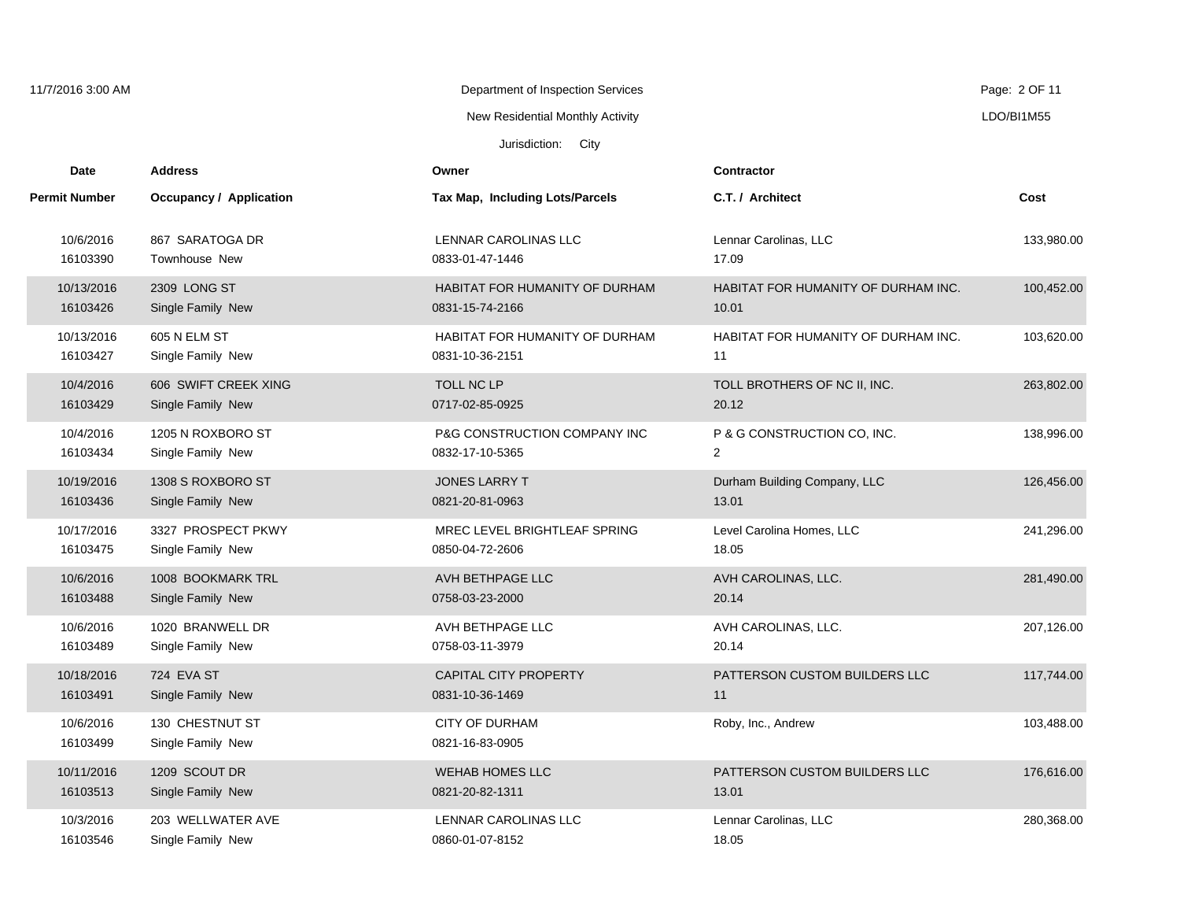| 11/7/2016 3:00 AM      |                                           | Department of Inspection Services                 |                                                     | Page: 2 OF 11 |
|------------------------|-------------------------------------------|---------------------------------------------------|-----------------------------------------------------|---------------|
|                        |                                           | New Residential Monthly Activity                  |                                                     | LDO/BI1M55    |
|                        |                                           | Jurisdiction: City                                |                                                     |               |
| <b>Date</b>            | <b>Address</b>                            | Owner                                             | <b>Contractor</b>                                   |               |
| <b>Permit Number</b>   | Occupancy / Application                   | Tax Map, Including Lots/Parcels                   | C.T. / Architect                                    | Cost          |
| 10/6/2016<br>16103390  | 867 SARATOGA DR<br>Townhouse New          | <b>LENNAR CAROLINAS LLC</b><br>0833-01-47-1446    | Lennar Carolinas, LLC<br>17.09                      | 133,980.00    |
| 10/13/2016<br>16103426 | 2309 LONG ST<br>Single Family New         | HABITAT FOR HUMANITY OF DURHAM<br>0831-15-74-2166 | <b>HABITAT FOR HUMANITY OF DURHAM INC.</b><br>10.01 | 100,452.00    |
| 10/13/2016<br>16103427 | 605 N ELM ST<br>Single Family New         | HABITAT FOR HUMANITY OF DURHAM<br>0831-10-36-2151 | HABITAT FOR HUMANITY OF DURHAM INC.<br>11           | 103,620.00    |
| 10/4/2016<br>16103429  | 606 SWIFT CREEK XING<br>Single Family New | TOLL NC LP<br>0717-02-85-0925                     | TOLL BROTHERS OF NC II, INC.<br>20.12               | 263,802.00    |
| 10/4/2016<br>16103434  | 1205 N ROXBORO ST<br>Single Family New    | P&G CONSTRUCTION COMPANY INC<br>0832-17-10-5365   | P & G CONSTRUCTION CO, INC.<br>$\overline{2}$       | 138,996.00    |
| 10/19/2016<br>16103436 | 1308 S ROXBORO ST<br>Single Family New    | <b>JONES LARRY T</b><br>0821-20-81-0963           | Durham Building Company, LLC<br>13.01               | 126,456.00    |
| 10/17/2016<br>16103475 | 3327 PROSPECT PKWY<br>Single Family New   | MREC LEVEL BRIGHTLEAF SPRING<br>0850-04-72-2606   | Level Carolina Homes, LLC<br>18.05                  | 241,296.00    |
| 10/6/2016<br>16103488  | 1008 BOOKMARK TRL<br>Single Family New    | AVH BETHPAGE LLC<br>0758-03-23-2000               | AVH CAROLINAS, LLC.<br>20.14                        | 281,490.00    |
| 10/6/2016<br>16103489  | 1020 BRANWELL DR<br>Single Family New     | AVH BETHPAGE LLC<br>0758-03-11-3979               | AVH CAROLINAS, LLC.<br>20.14                        | 207,126.00    |
| 10/18/2016<br>16103491 | 724 EVA ST<br>Single Family New           | <b>CAPITAL CITY PROPERTY</b><br>0831-10-36-1469   | PATTERSON CUSTOM BUILDERS LLC<br>11                 | 117,744.00    |
| 10/6/2016<br>16103499  | 130 CHESTNUT ST<br>Single Family New      | <b>CITY OF DURHAM</b><br>0821-16-83-0905          | Roby, Inc., Andrew                                  | 103,488.00    |
| 10/11/2016<br>16103513 | 1209 SCOUT DR<br>Single Family New        | <b>WEHAB HOMES LLC</b><br>0821-20-82-1311         | PATTERSON CUSTOM BUILDERS LLC<br>13.01              | 176,616.00    |
| 10/3/2016<br>16103546  | 203 WELLWATER AVE<br>Single Family New    | LENNAR CAROLINAS LLC<br>0860-01-07-8152           | Lennar Carolinas, LLC<br>18.05                      | 280,368.00    |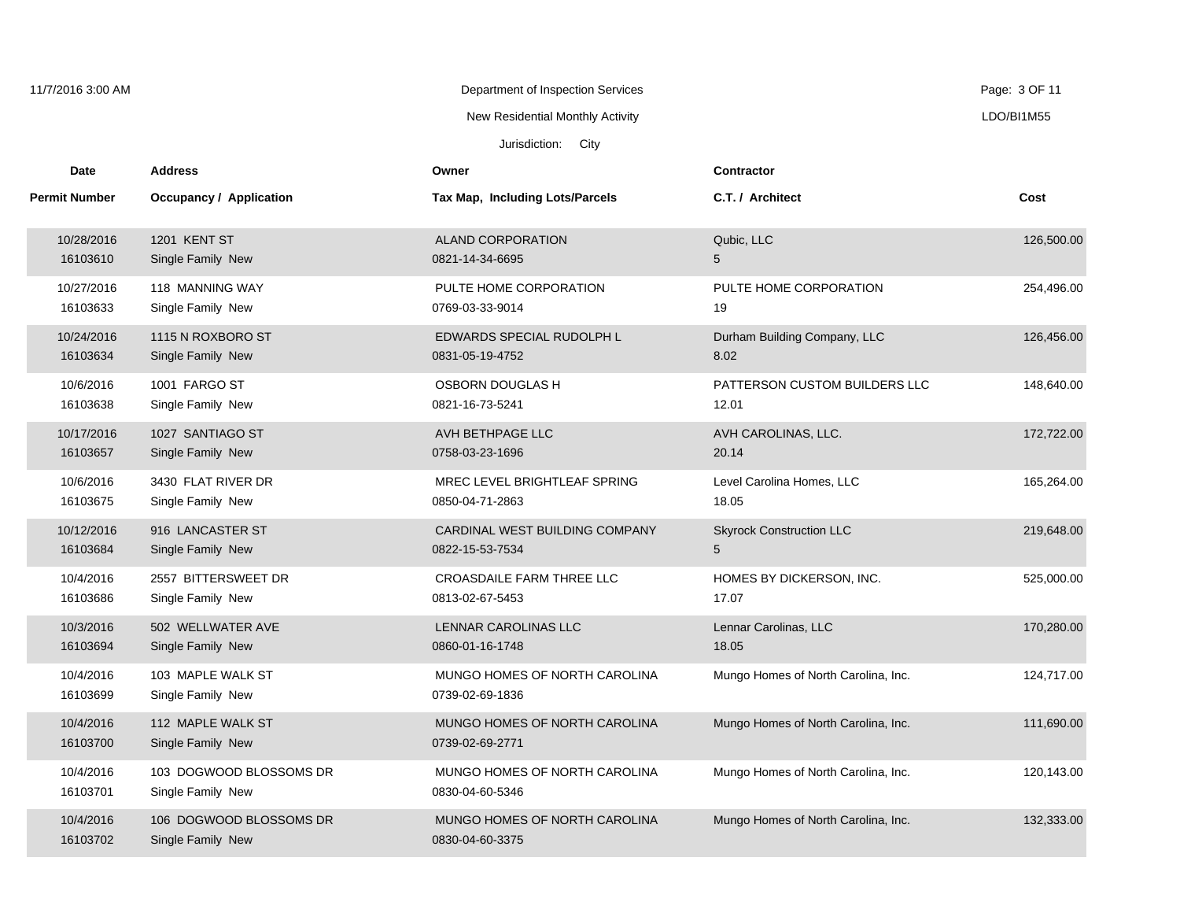| 11/7/2016 3:00 AM     |                                              | Department of Inspection Services                |                                     | Page: 3 OF 11 |
|-----------------------|----------------------------------------------|--------------------------------------------------|-------------------------------------|---------------|
|                       |                                              | New Residential Monthly Activity                 |                                     | LDO/BI1M55    |
|                       |                                              | Jurisdiction: City                               |                                     |               |
| Date                  | <b>Address</b>                               | Owner                                            | <b>Contractor</b>                   |               |
| <b>Permit Number</b>  | Occupancy / Application                      | Tax Map, Including Lots/Parcels                  | C.T. / Architect                    | Cost          |
| 10/28/2016            | <b>1201 KENT ST</b>                          | <b>ALAND CORPORATION</b>                         | Qubic, LLC                          | 126,500.00    |
| 16103610              | Single Family New                            | 0821-14-34-6695                                  | 5                                   |               |
| 10/27/2016            | 118 MANNING WAY                              | PULTE HOME CORPORATION                           | PULTE HOME CORPORATION              | 254,496.00    |
| 16103633              | Single Family New                            | 0769-03-33-9014                                  | 19                                  |               |
| 10/24/2016            | 1115 N ROXBORO ST                            | EDWARDS SPECIAL RUDOLPH L                        | Durham Building Company, LLC        | 126,456.00    |
| 16103634              | Single Family New                            | 0831-05-19-4752                                  | 8.02                                |               |
| 10/6/2016             | 1001 FARGO ST                                | <b>OSBORN DOUGLAS H</b>                          | PATTERSON CUSTOM BUILDERS LLC       | 148,640.00    |
| 16103638              | Single Family New                            | 0821-16-73-5241                                  | 12.01                               |               |
| 10/17/2016            | 1027 SANTIAGO ST                             | AVH BETHPAGE LLC                                 | AVH CAROLINAS, LLC.                 | 172,722.00    |
| 16103657              | Single Family New                            | 0758-03-23-1696                                  | 20.14                               |               |
| 10/6/2016             | 3430 FLAT RIVER DR                           | MREC LEVEL BRIGHTLEAF SPRING                     | Level Carolina Homes, LLC           | 165,264.00    |
| 16103675              | Single Family New                            | 0850-04-71-2863                                  | 18.05                               |               |
| 10/12/2016            | 916 LANCASTER ST                             | CARDINAL WEST BUILDING COMPANY                   | <b>Skyrock Construction LLC</b>     | 219,648.00    |
| 16103684              | Single Family New                            | 0822-15-53-7534                                  | 5                                   |               |
| 10/4/2016             | 2557 BITTERSWEET DR                          | <b>CROASDAILE FARM THREE LLC</b>                 | HOMES BY DICKERSON, INC.            | 525,000.00    |
| 16103686              | Single Family New                            | 0813-02-67-5453                                  | 17.07                               |               |
| 10/3/2016             | 502 WELLWATER AVE                            | LENNAR CAROLINAS LLC                             | Lennar Carolinas, LLC               | 170,280.00    |
| 16103694              | Single Family New                            | 0860-01-16-1748                                  | 18.05                               |               |
| 10/4/2016<br>16103699 | 103 MAPLE WALK ST<br>Single Family New       | MUNGO HOMES OF NORTH CAROLINA<br>0739-02-69-1836 | Mungo Homes of North Carolina, Inc. | 124,717.00    |
| 10/4/2016<br>16103700 | 112 MAPLE WALK ST<br>Single Family New       | MUNGO HOMES OF NORTH CAROLINA<br>0739-02-69-2771 | Mungo Homes of North Carolina, Inc. | 111,690.00    |
| 10/4/2016<br>16103701 | 103 DOGWOOD BLOSSOMS DR<br>Single Family New | MUNGO HOMES OF NORTH CAROLINA<br>0830-04-60-5346 | Mungo Homes of North Carolina, Inc. | 120,143.00    |
| 10/4/2016<br>16103702 | 106 DOGWOOD BLOSSOMS DR<br>Single Family New | MUNGO HOMES OF NORTH CAROLINA<br>0830-04-60-3375 | Mungo Homes of North Carolina, Inc. | 132,333.00    |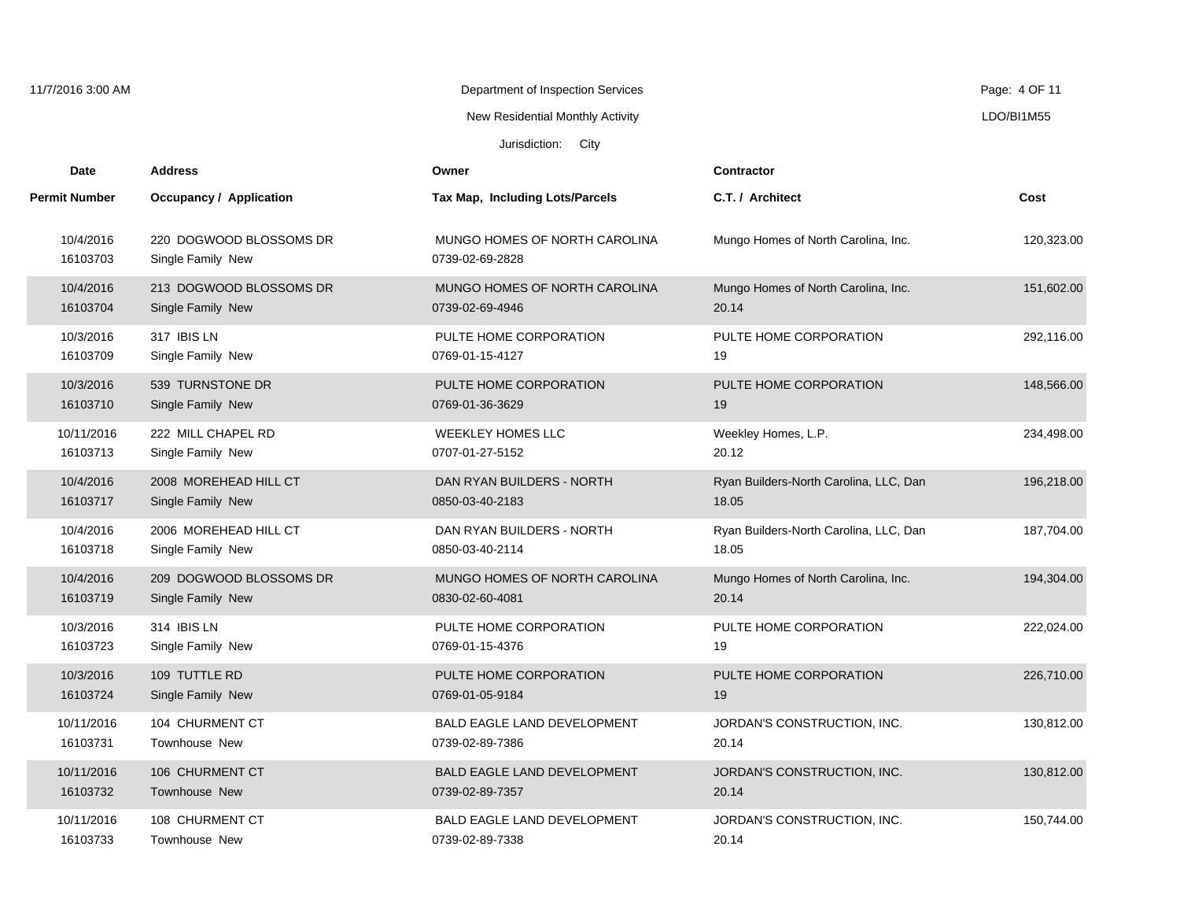| 11/7/2016 3:00 AM     |                                              | Department of Inspection Services                |                                        | Page: 4 OF 11 |
|-----------------------|----------------------------------------------|--------------------------------------------------|----------------------------------------|---------------|
|                       |                                              | New Residential Monthly Activity                 |                                        | LDO/BI1M55    |
|                       |                                              | Jurisdiction: City                               |                                        |               |
| Date                  | <b>Address</b>                               | Owner                                            | <b>Contractor</b>                      |               |
| <b>Permit Number</b>  | Occupancy / Application                      | Tax Map, Including Lots/Parcels                  | C.T. / Architect                       | Cost          |
| 10/4/2016<br>16103703 | 220 DOGWOOD BLOSSOMS DR<br>Single Family New | MUNGO HOMES OF NORTH CAROLINA<br>0739-02-69-2828 | Mungo Homes of North Carolina, Inc.    | 120,323.00    |
| 10/4/2016             | 213 DOGWOOD BLOSSOMS DR                      | MUNGO HOMES OF NORTH CAROLINA                    | Mungo Homes of North Carolina, Inc.    | 151,602.00    |
| 16103704              | Single Family New                            | 0739-02-69-4946                                  | 20.14                                  |               |
| 10/3/2016             | 317 IBIS LN                                  | PULTE HOME CORPORATION                           | PULTE HOME CORPORATION                 | 292,116.00    |
| 16103709              | Single Family New                            | 0769-01-15-4127                                  | 19                                     |               |
| 10/3/2016             | 539 TURNSTONE DR                             | PULTE HOME CORPORATION                           | PULTE HOME CORPORATION                 | 148,566.00    |
| 16103710              | Single Family New                            | 0769-01-36-3629                                  | 19                                     |               |
| 10/11/2016            | 222 MILL CHAPEL RD                           | <b>WEEKLEY HOMES LLC</b>                         | Weekley Homes, L.P.                    | 234,498.00    |
| 16103713              | Single Family New                            | 0707-01-27-5152                                  | 20.12                                  |               |
| 10/4/2016             | 2008 MOREHEAD HILL CT                        | DAN RYAN BUILDERS - NORTH                        | Ryan Builders-North Carolina, LLC, Dan | 196,218.00    |
| 16103717              | Single Family New                            | 0850-03-40-2183                                  | 18.05                                  |               |
| 10/4/2016             | 2006 MOREHEAD HILL CT                        | DAN RYAN BUILDERS - NORTH                        | Ryan Builders-North Carolina, LLC, Dan | 187,704.00    |
| 16103718              | Single Family New                            | 0850-03-40-2114                                  | 18.05                                  |               |
| 10/4/2016             | 209 DOGWOOD BLOSSOMS DR                      | MUNGO HOMES OF NORTH CAROLINA                    | Mungo Homes of North Carolina, Inc.    | 194,304.00    |
| 16103719              | Single Family New                            | 0830-02-60-4081                                  | 20.14                                  |               |
| 10/3/2016             | 314 IBIS LN                                  | PULTE HOME CORPORATION                           | PULTE HOME CORPORATION                 | 222,024.00    |
| 16103723              | Single Family New                            | 0769-01-15-4376                                  | 19                                     |               |
| 10/3/2016             | 109 TUTTLE RD                                | PULTE HOME CORPORATION                           | PULTE HOME CORPORATION                 | 226,710.00    |
| 16103724              | Single Family New                            | 0769-01-05-9184                                  | 19                                     |               |
| 10/11/2016            | 104 CHURMENT CT                              | <b>BALD EAGLE LAND DEVELOPMENT</b>               | JORDAN'S CONSTRUCTION, INC.            | 130,812.00    |
| 16103731              | Townhouse New                                | 0739-02-89-7386                                  | 20.14                                  |               |
| 10/11/2016            | 106 CHURMENT CT                              | <b>BALD EAGLE LAND DEVELOPMENT</b>               | JORDAN'S CONSTRUCTION, INC.            | 130,812.00    |
| 16103732              | Townhouse New                                | 0739-02-89-7357                                  | 20.14                                  |               |
| 10/11/2016            | 108 CHURMENT CT                              | BALD EAGLE LAND DEVELOPMENT                      | JORDAN'S CONSTRUCTION, INC.            | 150,744.00    |
| 16103733              | <b>Townhouse New</b>                         | 0739-02-89-7338                                  | 20.14                                  |               |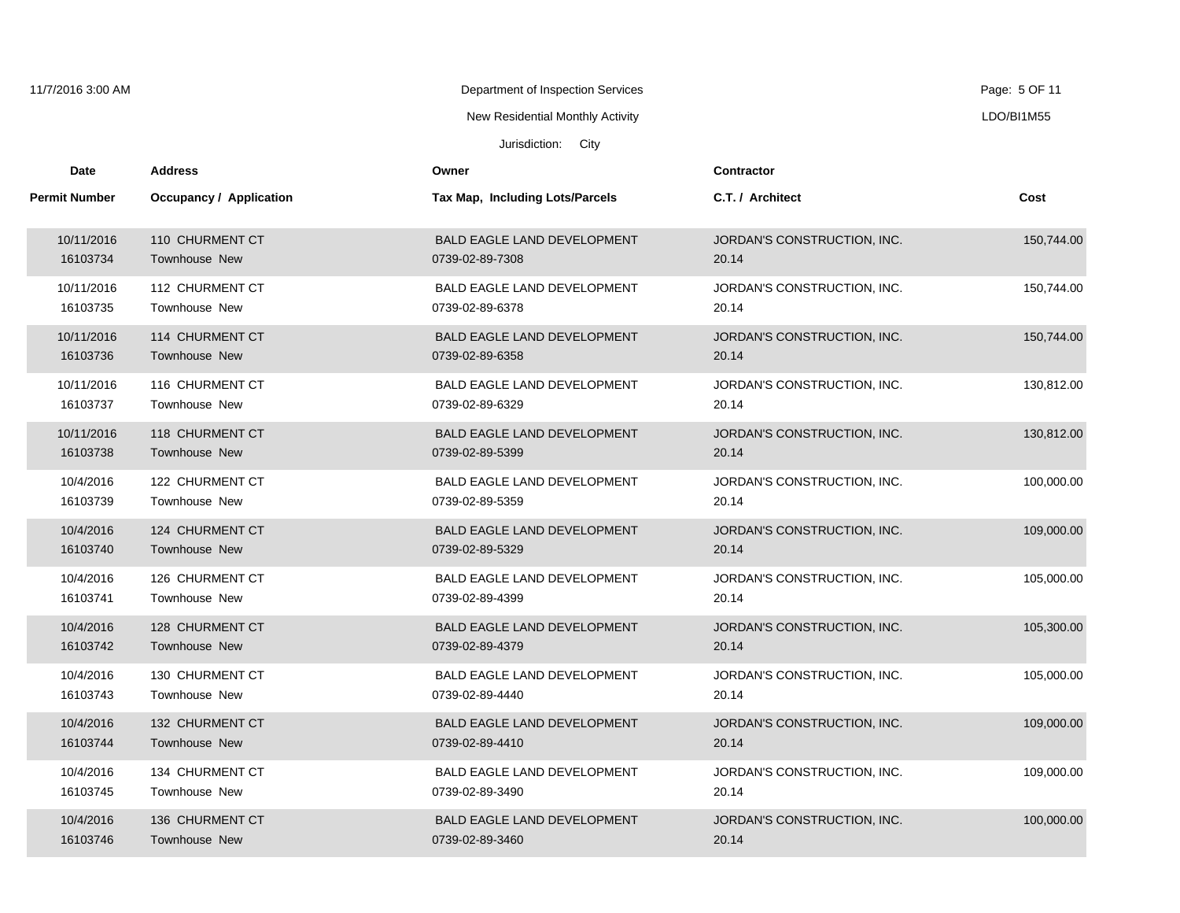| 11/7/2016 3:00 AM    |                         | Department of Inspection Services      |                             | Page: 5 OF 11 |
|----------------------|-------------------------|----------------------------------------|-----------------------------|---------------|
|                      |                         | New Residential Monthly Activity       |                             | LDO/BI1M55    |
|                      |                         | Jurisdiction: City                     |                             |               |
| Date                 | <b>Address</b>          | Owner                                  | <b>Contractor</b>           |               |
| <b>Permit Number</b> | Occupancy / Application | <b>Tax Map, Including Lots/Parcels</b> | C.T. / Architect            | Cost          |
| 10/11/2016           | 110 CHURMENT CT         | <b>BALD EAGLE LAND DEVELOPMENT</b>     | JORDAN'S CONSTRUCTION, INC. | 150,744.00    |
| 16103734             | <b>Townhouse New</b>    | 0739-02-89-7308                        | 20.14                       |               |
| 10/11/2016           | 112 CHURMENT CT         | <b>BALD EAGLE LAND DEVELOPMENT</b>     | JORDAN'S CONSTRUCTION, INC. | 150,744.00    |
| 16103735             | Townhouse New           | 0739-02-89-6378                        | 20.14                       |               |
| 10/11/2016           | 114 CHURMENT CT         | BALD EAGLE LAND DEVELOPMENT            | JORDAN'S CONSTRUCTION, INC. | 150,744.00    |
| 16103736             | <b>Townhouse New</b>    | 0739-02-89-6358                        | 20.14                       |               |
| 10/11/2016           | 116 CHURMENT CT         | <b>BALD EAGLE LAND DEVELOPMENT</b>     | JORDAN'S CONSTRUCTION, INC. | 130,812.00    |
| 16103737             | <b>Townhouse New</b>    | 0739-02-89-6329                        | 20.14                       |               |
| 10/11/2016           | 118 CHURMENT CT         | <b>BALD EAGLE LAND DEVELOPMENT</b>     | JORDAN'S CONSTRUCTION, INC. | 130,812.00    |
| 16103738             | Townhouse New           | 0739-02-89-5399                        | 20.14                       |               |
| 10/4/2016            | 122 CHURMENT CT         | <b>BALD EAGLE LAND DEVELOPMENT</b>     | JORDAN'S CONSTRUCTION, INC. | 100,000.00    |
| 16103739             | Townhouse New           | 0739-02-89-5359                        | 20.14                       |               |
| 10/4/2016            | 124 CHURMENT CT         | <b>BALD EAGLE LAND DEVELOPMENT</b>     | JORDAN'S CONSTRUCTION, INC. | 109,000.00    |
| 16103740             | <b>Townhouse New</b>    | 0739-02-89-5329                        | 20.14                       |               |
| 10/4/2016            | 126 CHURMENT CT         | BALD EAGLE LAND DEVELOPMENT            | JORDAN'S CONSTRUCTION, INC. | 105,000.00    |
| 16103741             | <b>Townhouse New</b>    | 0739-02-89-4399                        | 20.14                       |               |
| 10/4/2016            | 128 CHURMENT CT         | <b>BALD EAGLE LAND DEVELOPMENT</b>     | JORDAN'S CONSTRUCTION, INC. | 105,300.00    |
| 16103742             | Townhouse New           | 0739-02-89-4379                        | 20.14                       |               |
| 10/4/2016            | 130 CHURMENT CT         | <b>BALD EAGLE LAND DEVELOPMENT</b>     | JORDAN'S CONSTRUCTION, INC. | 105,000.00    |
| 16103743             | Townhouse New           | 0739-02-89-4440                        | 20.14                       |               |
| 10/4/2016            | 132 CHURMENT CT         | <b>BALD EAGLE LAND DEVELOPMENT</b>     | JORDAN'S CONSTRUCTION, INC. | 109,000.00    |
| 16103744             | <b>Townhouse New</b>    | 0739-02-89-4410                        | 20.14                       |               |
| 10/4/2016            | 134 CHURMENT CT         | BALD EAGLE LAND DEVELOPMENT            | JORDAN'S CONSTRUCTION, INC. | 109,000.00    |
| 16103745             | Townhouse New           | 0739-02-89-3490                        | 20.14                       |               |
| 10/4/2016            | 136 CHURMENT CT         | <b>BALD EAGLE LAND DEVELOPMENT</b>     | JORDAN'S CONSTRUCTION, INC. | 100,000.00    |
| 16103746             | <b>Townhouse New</b>    | 0739-02-89-3460                        | 20.14                       |               |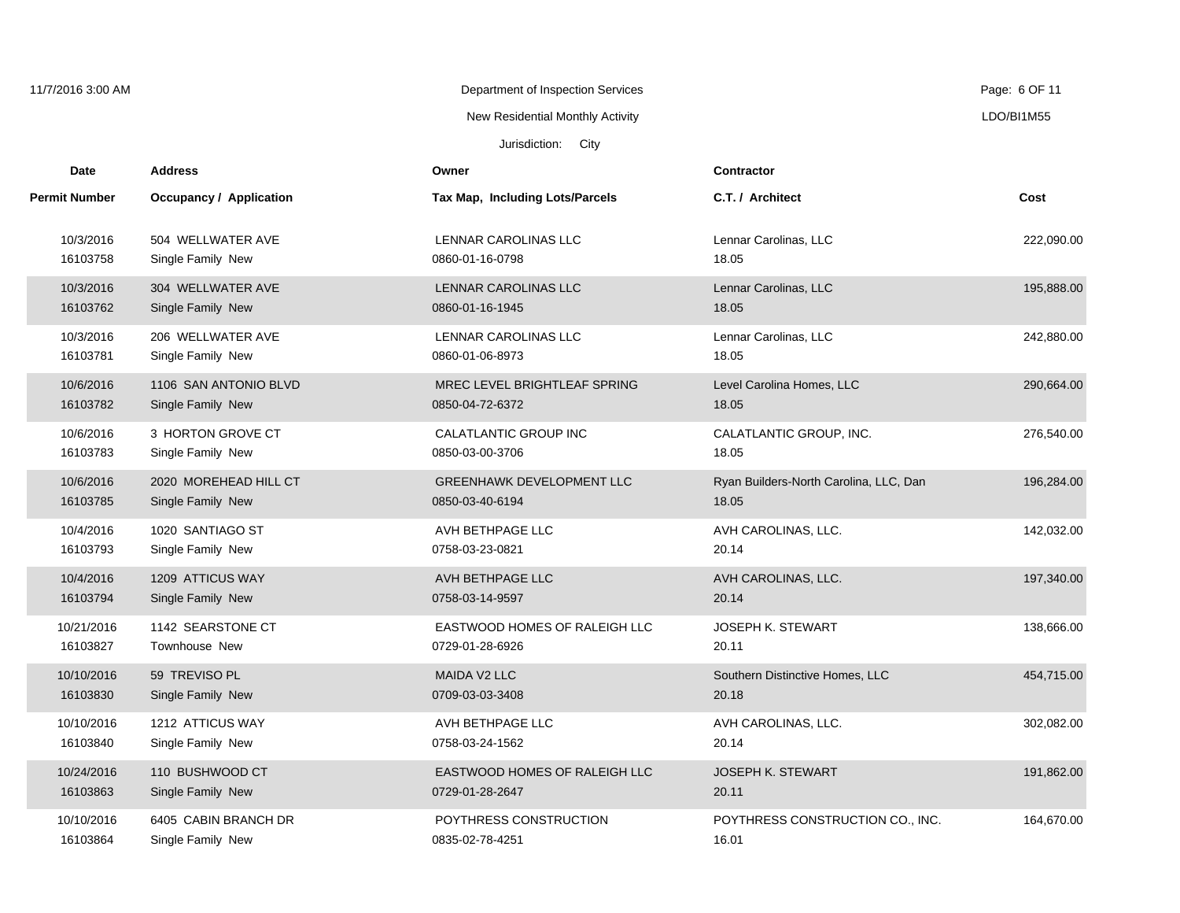| 11/7/2016 3:00 AM    |                                | Department of Inspection Services |                                        | Page: 6 OF 11 |
|----------------------|--------------------------------|-----------------------------------|----------------------------------------|---------------|
|                      |                                | New Residential Monthly Activity  |                                        | LDO/BI1M55    |
|                      |                                | Jurisdiction: City                |                                        |               |
| <b>Date</b>          | <b>Address</b>                 | Owner                             | <b>Contractor</b>                      |               |
| <b>Permit Number</b> | <b>Occupancy / Application</b> | Tax Map, Including Lots/Parcels   | C.T. / Architect                       | Cost          |
| 10/3/2016            | 504 WELLWATER AVE              | LENNAR CAROLINAS LLC              | Lennar Carolinas, LLC                  | 222,090.00    |
| 16103758             | Single Family New              | 0860-01-16-0798                   | 18.05                                  |               |
| 10/3/2016            | 304 WELLWATER AVE              | <b>LENNAR CAROLINAS LLC</b>       | Lennar Carolinas, LLC                  | 195,888.00    |
| 16103762             | Single Family New              | 0860-01-16-1945                   | 18.05                                  |               |
| 10/3/2016            | 206 WELLWATER AVE              | LENNAR CAROLINAS LLC              | Lennar Carolinas, LLC                  | 242,880.00    |
| 16103781             | Single Family New              | 0860-01-06-8973                   | 18.05                                  |               |
| 10/6/2016            | 1106 SAN ANTONIO BLVD          | MREC LEVEL BRIGHTLEAF SPRING      | Level Carolina Homes, LLC              | 290,664.00    |
| 16103782             | Single Family New              | 0850-04-72-6372                   | 18.05                                  |               |
| 10/6/2016            | 3 HORTON GROVE CT              | CALATLANTIC GROUP INC             | CALATLANTIC GROUP, INC.                | 276,540.00    |
| 16103783             | Single Family New              | 0850-03-00-3706                   | 18.05                                  |               |
| 10/6/2016            | 2020 MOREHEAD HILL CT          | <b>GREENHAWK DEVELOPMENT LLC</b>  | Ryan Builders-North Carolina, LLC, Dan | 196,284.00    |
| 16103785             | Single Family New              | 0850-03-40-6194                   | 18.05                                  |               |
| 10/4/2016            | 1020 SANTIAGO ST               | AVH BETHPAGE LLC                  | AVH CAROLINAS, LLC.                    | 142,032.00    |
| 16103793             | Single Family New              | 0758-03-23-0821                   | 20.14                                  |               |
| 10/4/2016            | 1209 ATTICUS WAY               | AVH BETHPAGE LLC                  | AVH CAROLINAS, LLC.                    | 197,340.00    |
| 16103794             | Single Family New              | 0758-03-14-9597                   | 20.14                                  |               |
| 10/21/2016           | 1142 SEARSTONE CT              | EASTWOOD HOMES OF RALEIGH LLC     | <b>JOSEPH K. STEWART</b>               | 138,666.00    |
| 16103827             | Townhouse New                  | 0729-01-28-6926                   | 20.11                                  |               |
| 10/10/2016           | 59 TREVISO PL                  | MAIDA V2 LLC                      | Southern Distinctive Homes, LLC        | 454,715.00    |
| 16103830             | Single Family New              | 0709-03-03-3408                   | 20.18                                  |               |
| 10/10/2016           | 1212 ATTICUS WAY               | AVH BETHPAGE LLC                  | AVH CAROLINAS, LLC.                    | 302,082.00    |
| 16103840             | Single Family New              | 0758-03-24-1562                   | 20.14                                  |               |
| 10/24/2016           | 110 BUSHWOOD CT                | EASTWOOD HOMES OF RALEIGH LLC     | <b>JOSEPH K. STEWART</b>               | 191,862.00    |
| 16103863             | Single Family New              | 0729-01-28-2647                   | 20.11                                  |               |
| 10/10/2016           | 6405 CABIN BRANCH DR           | POYTHRESS CONSTRUCTION            | POYTHRESS CONSTRUCTION CO., INC.       | 164,670.00    |
| 16103864             | Single Family New              | 0835-02-78-4251                   | 16.01                                  |               |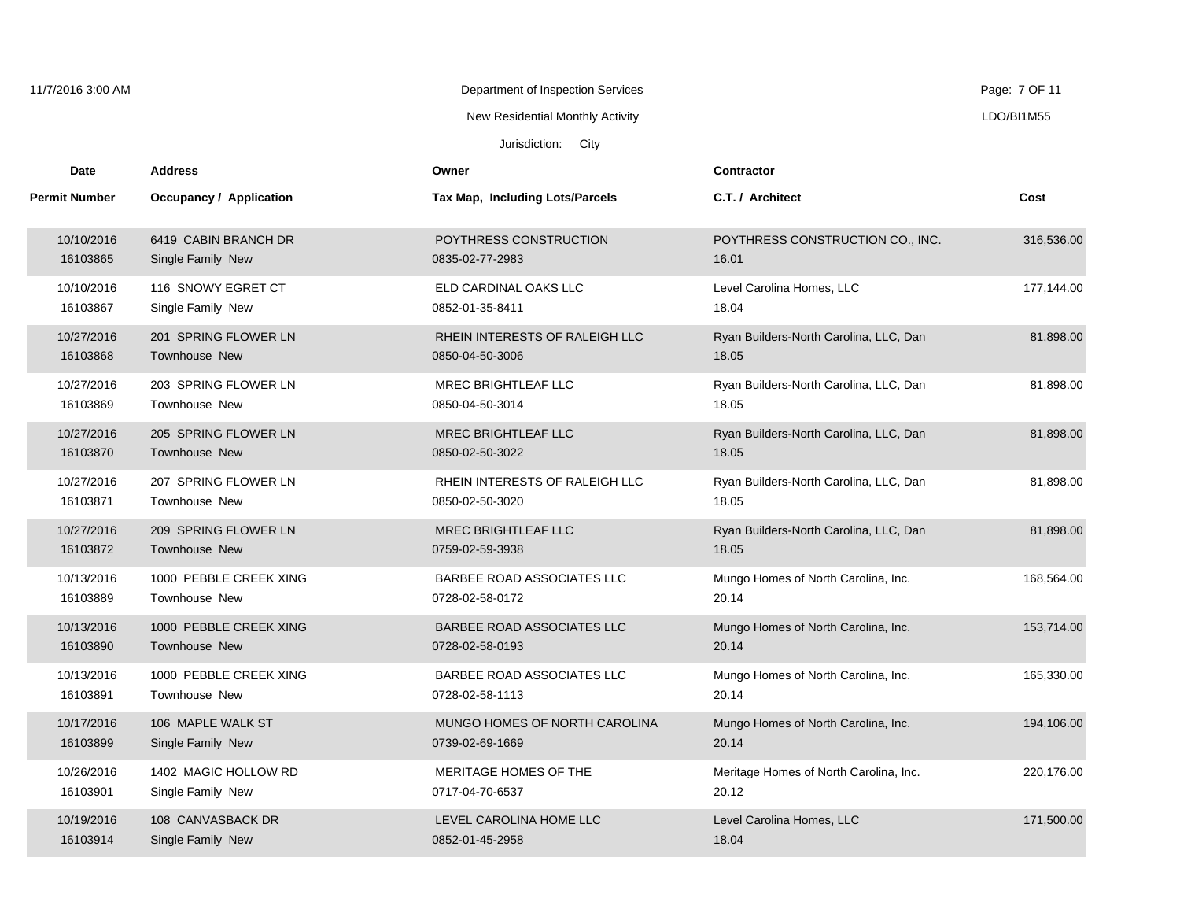| 11/7/2016 3:00 AM    |                                | Department of Inspection Services |                                        | Page: 7 OF 11 |
|----------------------|--------------------------------|-----------------------------------|----------------------------------------|---------------|
|                      |                                | New Residential Monthly Activity  |                                        | LDO/BI1M55    |
|                      |                                | Jurisdiction: City                |                                        |               |
| Date                 | <b>Address</b>                 | Owner                             | <b>Contractor</b>                      |               |
| <b>Permit Number</b> | <b>Occupancy / Application</b> | Tax Map, Including Lots/Parcels   | C.T. / Architect                       | Cost          |
| 10/10/2016           | 6419 CABIN BRANCH DR           | POYTHRESS CONSTRUCTION            | POYTHRESS CONSTRUCTION CO., INC.       | 316,536.00    |
| 16103865             | Single Family New              | 0835-02-77-2983                   | 16.01                                  |               |
| 10/10/2016           | 116 SNOWY EGRET CT             | ELD CARDINAL OAKS LLC             | Level Carolina Homes, LLC              | 177,144.00    |
| 16103867             | Single Family New              | 0852-01-35-8411                   | 18.04                                  |               |
| 10/27/2016           | 201 SPRING FLOWER LN           | RHEIN INTERESTS OF RALEIGH LLC    | Ryan Builders-North Carolina, LLC, Dan | 81,898.00     |
| 16103868             | Townhouse New                  | 0850-04-50-3006                   | 18.05                                  |               |
| 10/27/2016           | 203 SPRING FLOWER LN           | MREC BRIGHTLEAF LLC               | Ryan Builders-North Carolina, LLC, Dan | 81,898.00     |
| 16103869             | Townhouse New                  | 0850-04-50-3014                   | 18.05                                  |               |
| 10/27/2016           | 205 SPRING FLOWER LN           | MREC BRIGHTLEAF LLC               | Ryan Builders-North Carolina, LLC, Dan | 81,898.00     |
| 16103870             | <b>Townhouse New</b>           | 0850-02-50-3022                   | 18.05                                  |               |
| 10/27/2016           | 207 SPRING FLOWER LN           | RHEIN INTERESTS OF RALEIGH LLC    | Ryan Builders-North Carolina, LLC, Dan | 81,898.00     |
| 16103871             | Townhouse New                  | 0850-02-50-3020                   | 18.05                                  |               |
| 10/27/2016           | 209 SPRING FLOWER LN           | <b>MREC BRIGHTLEAF LLC</b>        | Ryan Builders-North Carolina, LLC, Dan | 81,898.00     |
| 16103872             | Townhouse New                  | 0759-02-59-3938                   | 18.05                                  |               |
| 10/13/2016           | 1000 PEBBLE CREEK XING         | BARBEE ROAD ASSOCIATES LLC        | Mungo Homes of North Carolina, Inc.    | 168,564.00    |
| 16103889             | <b>Townhouse New</b>           | 0728-02-58-0172                   | 20.14                                  |               |
| 10/13/2016           | 1000 PEBBLE CREEK XING         | BARBEE ROAD ASSOCIATES LLC        | Mungo Homes of North Carolina, Inc.    | 153,714.00    |
| 16103890             | Townhouse New                  | 0728-02-58-0193                   | 20.14                                  |               |
| 10/13/2016           | 1000 PEBBLE CREEK XING         | BARBEE ROAD ASSOCIATES LLC        | Mungo Homes of North Carolina, Inc.    | 165,330.00    |
| 16103891             | Townhouse New                  | 0728-02-58-1113                   | 20.14                                  |               |
| 10/17/2016           | 106 MAPLE WALK ST              | MUNGO HOMES OF NORTH CAROLINA     | Mungo Homes of North Carolina, Inc.    | 194,106.00    |
| 16103899             | Single Family New              | 0739-02-69-1669                   | 20.14                                  |               |
| 10/26/2016           | 1402 MAGIC HOLLOW RD           | MERITAGE HOMES OF THE             | Meritage Homes of North Carolina, Inc. | 220,176.00    |
| 16103901             | Single Family New              | 0717-04-70-6537                   | 20.12                                  |               |
| 10/19/2016           | 108 CANVASBACK DR              | LEVEL CAROLINA HOME LLC           | Level Carolina Homes, LLC              | 171,500.00    |
| 16103914             | Single Family New              | 0852-01-45-2958                   | 18.04                                  |               |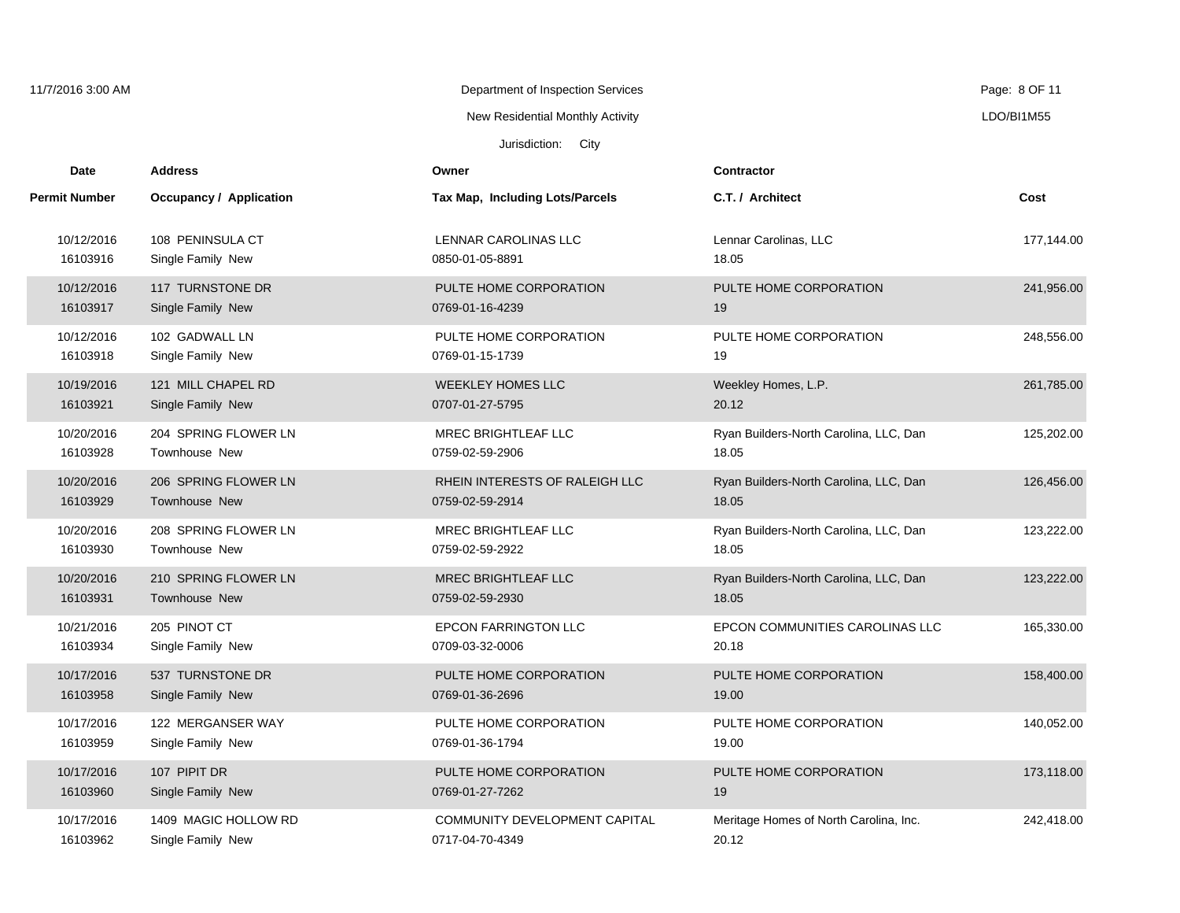| 11/7/2016 3:00 AM    |                                | Department of Inspection Services |                                        | Page: 8 OF 11 |
|----------------------|--------------------------------|-----------------------------------|----------------------------------------|---------------|
|                      |                                | New Residential Monthly Activity  |                                        | LDO/BI1M55    |
|                      |                                | Jurisdiction: City                |                                        |               |
| Date                 | <b>Address</b>                 | Owner                             | Contractor                             |               |
| <b>Permit Number</b> | <b>Occupancy / Application</b> | Tax Map, Including Lots/Parcels   | C.T. / Architect                       | Cost          |
| 10/12/2016           | 108 PENINSULA CT               | LENNAR CAROLINAS LLC              | Lennar Carolinas, LLC                  | 177,144.00    |
| 16103916             | Single Family New              | 0850-01-05-8891                   | 18.05                                  |               |
| 10/12/2016           | 117 TURNSTONE DR               | PULTE HOME CORPORATION            | PULTE HOME CORPORATION                 | 241,956.00    |
| 16103917             | Single Family New              | 0769-01-16-4239                   | 19                                     |               |
| 10/12/2016           | 102 GADWALL LN                 | PULTE HOME CORPORATION            | PULTE HOME CORPORATION                 | 248,556.00    |
| 16103918             | Single Family New              | 0769-01-15-1739                   | 19                                     |               |
| 10/19/2016           | 121 MILL CHAPEL RD             | <b>WEEKLEY HOMES LLC</b>          | Weekley Homes, L.P.                    | 261,785.00    |
| 16103921             | Single Family New              | 0707-01-27-5795                   | 20.12                                  |               |
| 10/20/2016           | 204 SPRING FLOWER LN           | MREC BRIGHTLEAF LLC               | Ryan Builders-North Carolina, LLC, Dan | 125,202.00    |
| 16103928             | Townhouse New                  | 0759-02-59-2906                   | 18.05                                  |               |
| 10/20/2016           | 206 SPRING FLOWER LN           | RHEIN INTERESTS OF RALEIGH LLC    | Ryan Builders-North Carolina, LLC, Dan | 126,456.00    |
| 16103929             | Townhouse New                  | 0759-02-59-2914                   | 18.05                                  |               |
| 10/20/2016           | 208 SPRING FLOWER LN           | MREC BRIGHTLEAF LLC               | Ryan Builders-North Carolina, LLC, Dan | 123,222.00    |
| 16103930             | Townhouse New                  | 0759-02-59-2922                   | 18.05                                  |               |
| 10/20/2016           | 210 SPRING FLOWER LN           | <b>MREC BRIGHTLEAF LLC</b>        | Ryan Builders-North Carolina, LLC, Dan | 123,222.00    |
| 16103931             | Townhouse New                  | 0759-02-59-2930                   | 18.05                                  |               |
| 10/21/2016           | 205 PINOT CT                   | <b>EPCON FARRINGTON LLC</b>       | EPCON COMMUNITIES CAROLINAS LLC        | 165,330.00    |
| 16103934             | Single Family New              | 0709-03-32-0006                   | 20.18                                  |               |
| 10/17/2016           | 537 TURNSTONE DR               | PULTE HOME CORPORATION            | PULTE HOME CORPORATION                 | 158,400.00    |
| 16103958             | Single Family New              | 0769-01-36-2696                   | 19.00                                  |               |
| 10/17/2016           | 122 MERGANSER WAY              | PULTE HOME CORPORATION            | PULTE HOME CORPORATION                 | 140,052.00    |
| 16103959             | Single Family New              | 0769-01-36-1794                   | 19.00                                  |               |
| 10/17/2016           | 107 PIPIT DR                   | PULTE HOME CORPORATION            | PULTE HOME CORPORATION                 | 173,118.00    |
| 16103960             | Single Family New              | 0769-01-27-7262                   | 19                                     |               |
| 10/17/2016           | 1409 MAGIC HOLLOW RD           | COMMUNITY DEVELOPMENT CAPITAL     | Meritage Homes of North Carolina, Inc. | 242,418.00    |
| 16103962             | Single Family New              | 0717-04-70-4349                   | 20.12                                  |               |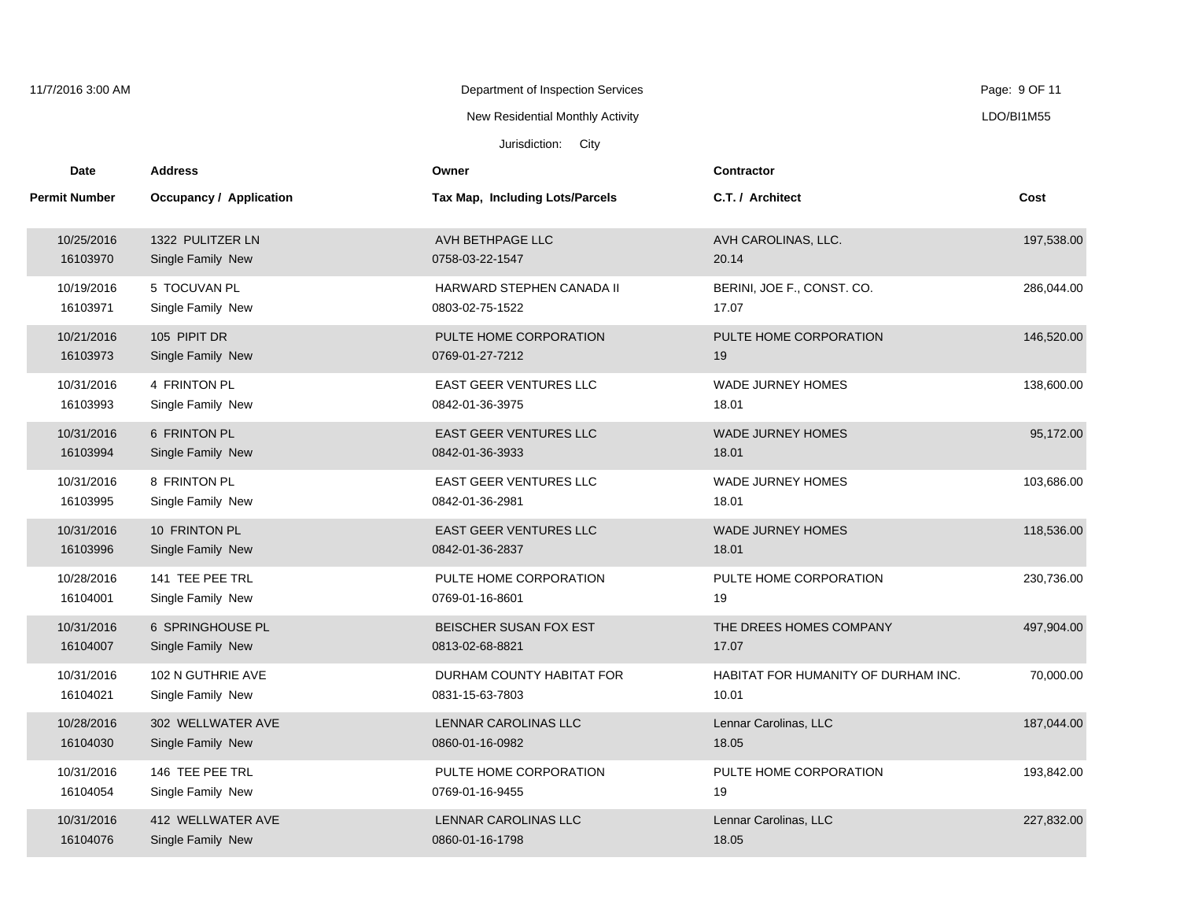| 11/7/2016 3:00 AM    |                         | Department of Inspection Services      |                                     | Page: 9 OF 11 |
|----------------------|-------------------------|----------------------------------------|-------------------------------------|---------------|
|                      |                         | New Residential Monthly Activity       |                                     | LDO/BI1M55    |
|                      |                         | Jurisdiction: City                     |                                     |               |
| Date                 | <b>Address</b>          | Owner                                  | <b>Contractor</b>                   |               |
| <b>Permit Number</b> | Occupancy / Application | <b>Tax Map, Including Lots/Parcels</b> | C.T. / Architect                    | Cost          |
| 10/25/2016           | 1322 PULITZER LN        | AVH BETHPAGE LLC                       | AVH CAROLINAS, LLC.                 | 197,538.00    |
| 16103970             | Single Family New       | 0758-03-22-1547                        | 20.14                               |               |
| 10/19/2016           | 5 TOCUVAN PL            | HARWARD STEPHEN CANADA II              | BERINI, JOE F., CONST. CO.          | 286,044.00    |
| 16103971             | Single Family New       | 0803-02-75-1522                        | 17.07                               |               |
| 10/21/2016           | 105 PIPIT DR            | PULTE HOME CORPORATION                 | PULTE HOME CORPORATION              | 146,520.00    |
| 16103973             | Single Family New       | 0769-01-27-7212                        | 19                                  |               |
| 10/31/2016           | 4 FRINTON PL            | <b>EAST GEER VENTURES LLC</b>          | <b>WADE JURNEY HOMES</b>            | 138,600.00    |
| 16103993             | Single Family New       | 0842-01-36-3975                        | 18.01                               |               |
| 10/31/2016           | 6 FRINTON PL            | <b>EAST GEER VENTURES LLC</b>          | <b>WADE JURNEY HOMES</b>            | 95,172.00     |
| 16103994             | Single Family New       | 0842-01-36-3933                        | 18.01                               |               |
| 10/31/2016           | 8 FRINTON PL            | <b>EAST GEER VENTURES LLC</b>          | WADE JURNEY HOMES                   | 103,686.00    |
| 16103995             | Single Family New       | 0842-01-36-2981                        | 18.01                               |               |
| 10/31/2016           | 10 FRINTON PL           | <b>EAST GEER VENTURES LLC</b>          | <b>WADE JURNEY HOMES</b>            | 118,536.00    |
| 16103996             | Single Family New       | 0842-01-36-2837                        | 18.01                               |               |
| 10/28/2016           | 141 TEE PEE TRL         | PULTE HOME CORPORATION                 | PULTE HOME CORPORATION              | 230,736.00    |
| 16104001             | Single Family New       | 0769-01-16-8601                        | 19                                  |               |
| 10/31/2016           | 6 SPRINGHOUSE PL        | BEISCHER SUSAN FOX EST                 | THE DREES HOMES COMPANY             | 497,904.00    |
| 16104007             | Single Family New       | 0813-02-68-8821                        | 17.07                               |               |
| 10/31/2016           | 102 N GUTHRIE AVE       | DURHAM COUNTY HABITAT FOR              | HABITAT FOR HUMANITY OF DURHAM INC. | 70,000.00     |
| 16104021             | Single Family New       | 0831-15-63-7803                        | 10.01                               |               |
| 10/28/2016           | 302 WELLWATER AVE       | LENNAR CAROLINAS LLC                   | Lennar Carolinas, LLC               | 187,044.00    |
| 16104030             | Single Family New       | 0860-01-16-0982                        | 18.05                               |               |
| 10/31/2016           | 146 TEE PEE TRL         | PULTE HOME CORPORATION                 | PULTE HOME CORPORATION              | 193,842.00    |
| 16104054             | Single Family New       | 0769-01-16-9455                        | 19                                  |               |
| 10/31/2016           | 412 WELLWATER AVE       | LENNAR CAROLINAS LLC                   | Lennar Carolinas, LLC               | 227,832.00    |
| 16104076             | Single Family New       | 0860-01-16-1798                        | 18.05                               |               |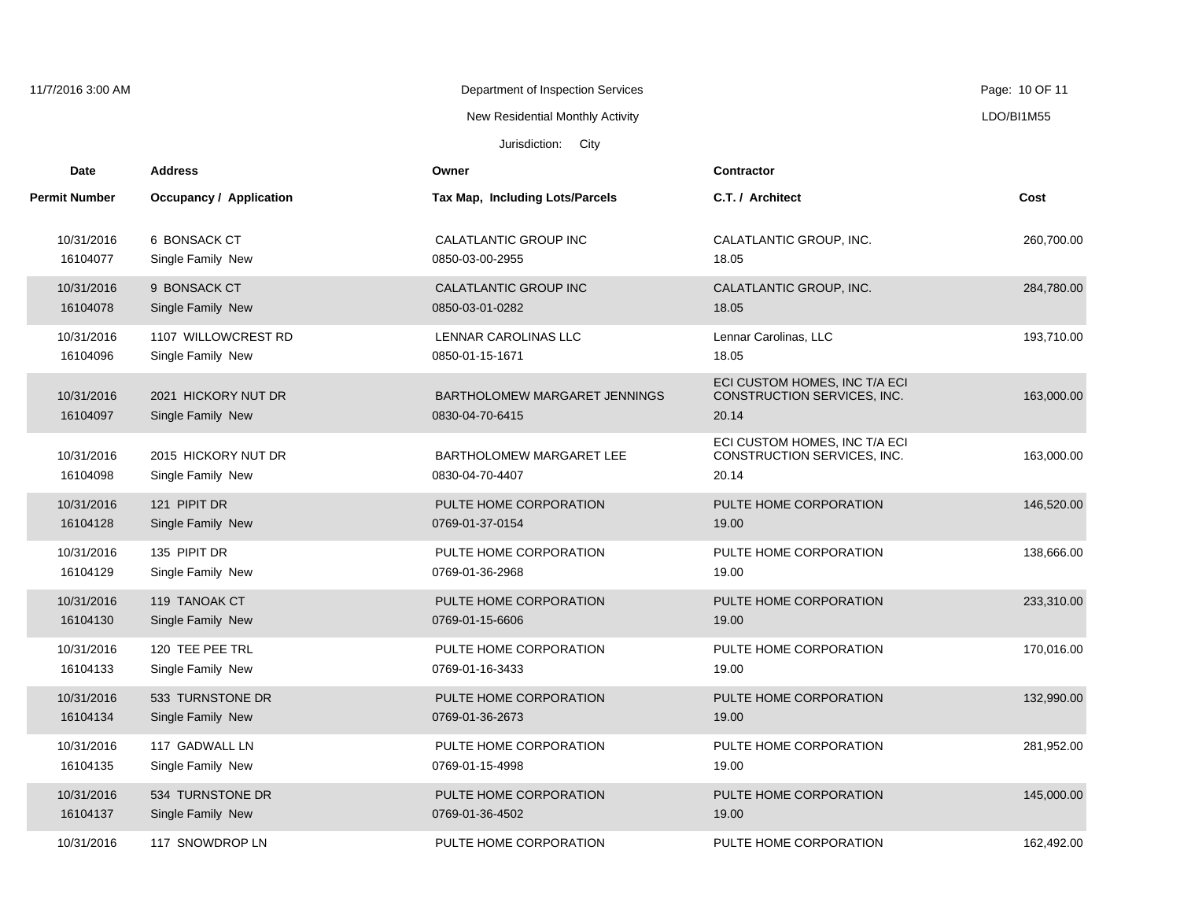| 11/7/2016 3:00 AM      |                                          | Department of Inspection Services                |                                                                       | Page: 10 OF 11 |
|------------------------|------------------------------------------|--------------------------------------------------|-----------------------------------------------------------------------|----------------|
|                        |                                          | New Residential Monthly Activity                 |                                                                       | LDO/BI1M55     |
|                        |                                          | Jurisdiction: City                               |                                                                       |                |
| Date                   | <b>Address</b>                           | Owner                                            | <b>Contractor</b>                                                     |                |
| <b>Permit Number</b>   | Occupancy / Application                  | <b>Tax Map, Including Lots/Parcels</b>           | C.T. / Architect                                                      | Cost           |
| 10/31/2016             | 6 BONSACK CT                             | CALATLANTIC GROUP INC                            | CALATLANTIC GROUP, INC.                                               | 260,700.00     |
| 16104077               | Single Family New                        | 0850-03-00-2955                                  | 18.05                                                                 |                |
| 10/31/2016             | 9 BONSACK CT                             | CALATLANTIC GROUP INC                            | CALATLANTIC GROUP, INC.                                               | 284,780.00     |
| 16104078               | Single Family New                        | 0850-03-01-0282                                  | 18.05                                                                 |                |
| 10/31/2016             | 1107 WILLOWCREST RD                      | LENNAR CAROLINAS LLC                             | Lennar Carolinas, LLC                                                 | 193,710.00     |
| 16104096               | Single Family New                        | 0850-01-15-1671                                  | 18.05                                                                 |                |
| 10/31/2016<br>16104097 | 2021 HICKORY NUT DR<br>Single Family New | BARTHOLOMEW MARGARET JENNINGS<br>0830-04-70-6415 | ECI CUSTOM HOMES, INC T/A ECI<br>CONSTRUCTION SERVICES, INC.<br>20.14 | 163,000.00     |
| 10/31/2016<br>16104098 | 2015 HICKORY NUT DR<br>Single Family New | BARTHOLOMEW MARGARET LEE<br>0830-04-70-4407      | ECI CUSTOM HOMES, INC T/A ECI<br>CONSTRUCTION SERVICES, INC.<br>20.14 | 163,000.00     |
| 10/31/2016             | 121 PIPIT DR                             | PULTE HOME CORPORATION                           | PULTE HOME CORPORATION                                                | 146,520.00     |
| 16104128               | Single Family New                        | 0769-01-37-0154                                  | 19.00                                                                 |                |
| 10/31/2016             | 135 PIPIT DR                             | PULTE HOME CORPORATION                           | PULTE HOME CORPORATION                                                | 138,666.00     |
| 16104129               | Single Family New                        | 0769-01-36-2968                                  | 19.00                                                                 |                |
| 10/31/2016             | 119 TANOAK CT                            | PULTE HOME CORPORATION                           | PULTE HOME CORPORATION                                                | 233,310.00     |
| 16104130               | Single Family New                        | 0769-01-15-6606                                  | 19.00                                                                 |                |
| 10/31/2016             | 120 TEE PEE TRL                          | PULTE HOME CORPORATION                           | PULTE HOME CORPORATION                                                | 170,016.00     |
| 16104133               | Single Family New                        | 0769-01-16-3433                                  | 19.00                                                                 |                |
| 10/31/2016             | 533 TURNSTONE DR                         | PULTE HOME CORPORATION                           | PULTE HOME CORPORATION                                                | 132,990.00     |
| 16104134               | Single Family New                        | 0769-01-36-2673                                  | 19.00                                                                 |                |
| 10/31/2016             | 117 GADWALL LN                           | PULTE HOME CORPORATION                           | PULTE HOME CORPORATION                                                | 281,952.00     |
| 16104135               | Single Family New                        | 0769-01-15-4998                                  | 19.00                                                                 |                |
| 10/31/2016             | 534 TURNSTONE DR                         | PULTE HOME CORPORATION                           | PULTE HOME CORPORATION                                                | 145,000.00     |
| 16104137               | Single Family New                        | 0769-01-36-4502                                  | 19.00                                                                 |                |
| 10/31/2016             | 117 SNOWDROP LN                          | PULTE HOME CORPORATION                           | PULTE HOME CORPORATION                                                | 162,492.00     |